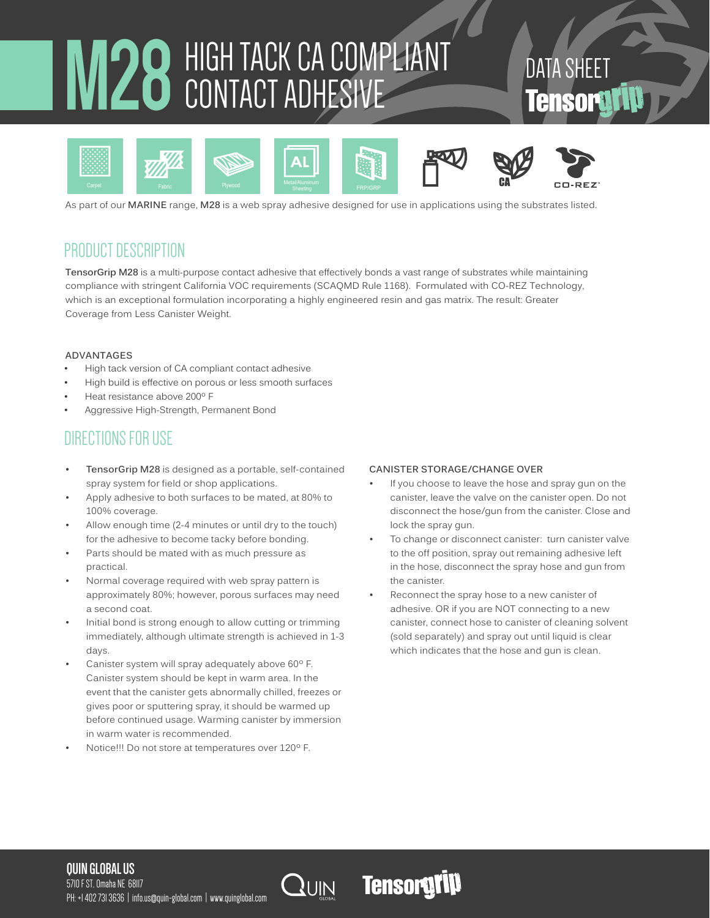# **M28** HIGH TACK CA COMPLIANT CONTACT ADHESIVE

# DATA SHEET **Tensorgy**



As part of our **MARINE** range, **M28** is a web spray adhesive designed for use in applications using the substrates listed.

# PRODUCT DESCRIPTION

**TensorGrip M28** is a multi-purpose contact adhesive that effectively bonds a vast range of substrates while maintaining compliance with stringent California VOC requirements (SCAQMD Rule 1168). Formulated with CO-REZ Technology, which is an exceptional formulation incorporating a highly engineered resin and gas matrix. The result: Greater Coverage from Less Canister Weight.

#### **ADVANTAGES**

- High tack version of CA compliant contact adhesive
- High build is effective on porous or less smooth surfaces
- Heat resistance above 200º F
- Aggressive High-Strength, Permanent Bond

# DIRECTIONS FOR USE

- **• TensorGrip M28** is designed as a portable, self-contained spray system for field or shop applications.
- Apply adhesive to both surfaces to be mated, at 80% to 100% coverage.
- Allow enough time (2-4 minutes or until dry to the touch) for the adhesive to become tacky before bonding.
- Parts should be mated with as much pressure as practical.
- Normal coverage required with web spray pattern is approximately 80%; however, porous surfaces may need a second coat.
- Initial bond is strong enough to allow cutting or trimming immediately, although ultimate strength is achieved in 1-3 days.
- Canister system will spray adequately above 60º F. Canister system should be kept in warm area. In the event that the canister gets abnormally chilled, freezes or gives poor or sputtering spray, it should be warmed up before continued usage. Warming canister by immersion in warm water is recommended.
- Notice!!! Do not store at temperatures over 120º F.

#### **CANISTER STORAGE/CHANGE OVER**

- If you choose to leave the hose and spray gun on the canister, leave the valve on the canister open. Do not disconnect the hose/gun from the canister. Close and lock the spray gun.
- To change or disconnect canister: turn canister valve to the off position, spray out remaining adhesive left in the hose, disconnect the spray hose and gun from the canister.
- Reconnect the spray hose to a new canister of adhesive. OR if you are NOT connecting to a new canister, connect hose to canister of cleaning solvent (sold separately) and spray out until liquid is clear which indicates that the hose and gun is clean.

#### **QUIN GLOBAL US**

5710 F ST, Omaha NE 68117 PH: +1 402 731 3636 | info.us@quin-global.com | www.quinglobal.com



# **Tensorgrip**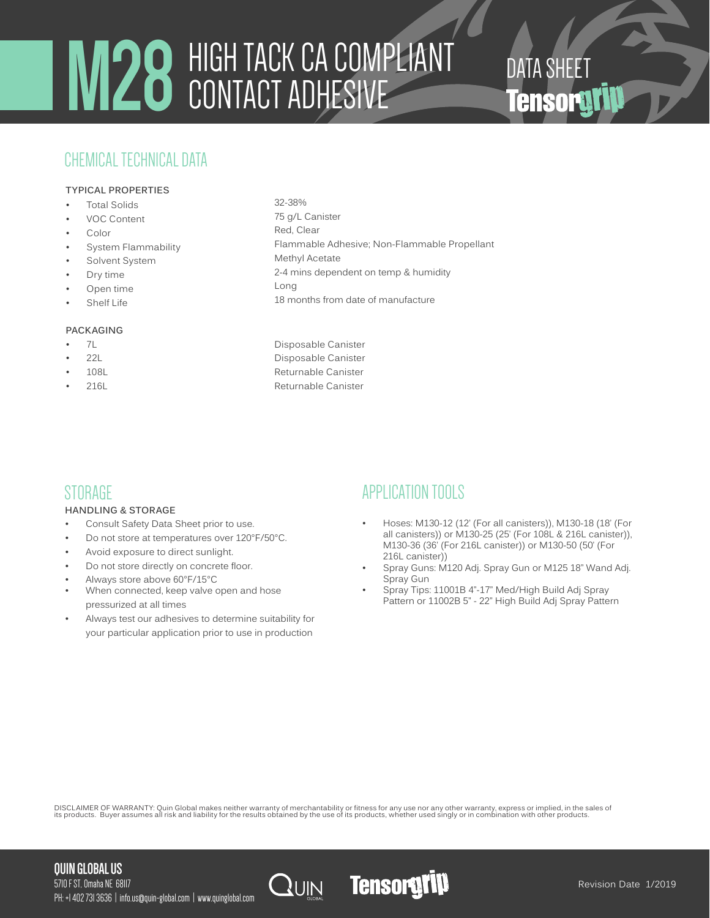# **M28** HIGH TACK CA COMPLIANT CONTACT ADHESIVE

# CHEMICAL TECHNICAL DATA

#### **TYPICAL PROPERTIES**

- **Total Solids**
- VOC Content
- **Color**
- System Flammability
- Solvent System
- Dry time
- Open time
- **Shelf Life**

#### **PACKAGING**

- 
- 
- 
- 
- 32-38% 75 g/L Canister Red, Clear Flammable Adhesive; Non-Flammable Propellant Methyl Acetate 2-4 mins dependent on temp & humidity Long
- 18 months from date of manufacture
- 7L Disposable Canister • 22L Disposable Canister 108L **Canister 108L** Returnable Canister 216L<br>Returnable Canister

# **STORAGE**

#### **HANDLING & STORAGE**

- Consult Safety Data Sheet prior to use.
- Do not store at temperatures over 120°F/50°C.
- Avoid exposure to direct sunlight.
- Do not store directly on concrete floor.
- Always store above 60°F/15°C
- When connected, keep valve open and hose pressurized at all times
- Always test our adhesives to determine suitability for your particular application prior to use in production

# APPLICATION TOOLS

• Hoses: M130-12 (12' (For all canisters)), M130-18 (18' (For all canisters)) or M130-25 (25' (For 108L & 216L canister)), M130-36 (36' (For 216L canister)) or M130-50 (50' (For 216L canister))

DATA SHEET<br>**Tensorativ** 

- Spray Guns: M120 Adj. Spray Gun or M125 18" Wand Adj. Spray Gun
- Spray Tips: 11001B 4"-17" Med/High Build Adj Spray Pattern or 11002B 5" - 22" High Build Adj Spray Pattern

DISCLAIMER OF WARRANTY: Quin Global makes neither warranty of merchantability or fitness for any use nor any other warranty, express or implied, in the sales of<br>its products. Buyer assumes all risk and liability for the r

#### **QUIN GLOBAL US**

5710 F ST, Omaha NE 68117 PH: +1 402 731 3636 | info.us@quin-global.com | www.quinglobal.com





Revision Date 1/2019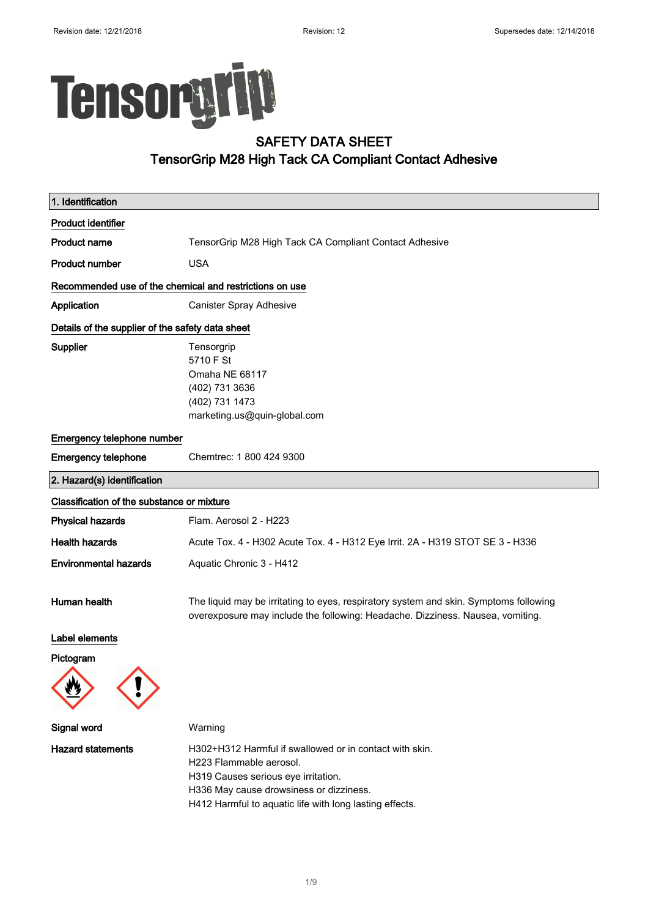# Tensorgrip

### SAFETY DATA SHEET TensorGrip M28 High Tack CA Compliant Contact Adhesive

| 1. Identification                                       |                                                                                                                                                                                                                                 |
|---------------------------------------------------------|---------------------------------------------------------------------------------------------------------------------------------------------------------------------------------------------------------------------------------|
| <b>Product identifier</b>                               |                                                                                                                                                                                                                                 |
| <b>Product name</b>                                     | TensorGrip M28 High Tack CA Compliant Contact Adhesive                                                                                                                                                                          |
| <b>Product number</b>                                   | <b>USA</b>                                                                                                                                                                                                                      |
| Recommended use of the chemical and restrictions on use |                                                                                                                                                                                                                                 |
| Application                                             | Canister Spray Adhesive                                                                                                                                                                                                         |
| Details of the supplier of the safety data sheet        |                                                                                                                                                                                                                                 |
| <b>Supplier</b>                                         | Tensorgrip<br>5710 F St<br>Omaha NE 68117<br>(402) 731 3636<br>(402) 731 1473<br>marketing.us@quin-global.com                                                                                                                   |
| Emergency telephone number                              |                                                                                                                                                                                                                                 |
| <b>Emergency telephone</b>                              | Chemtrec: 1 800 424 9300                                                                                                                                                                                                        |
| 2. Hazard(s) identification                             |                                                                                                                                                                                                                                 |
| Classification of the substance or mixture              |                                                                                                                                                                                                                                 |
| <b>Physical hazards</b>                                 | Flam. Aerosol 2 - H223                                                                                                                                                                                                          |
| <b>Health hazards</b>                                   | Acute Tox. 4 - H302 Acute Tox. 4 - H312 Eye Irrit. 2A - H319 STOT SE 3 - H336                                                                                                                                                   |
| <b>Environmental hazards</b>                            | Aquatic Chronic 3 - H412                                                                                                                                                                                                        |
| Human health                                            | The liquid may be irritating to eyes, respiratory system and skin. Symptoms following<br>overexposure may include the following: Headache. Dizziness. Nausea, vomiting.                                                         |
| Label elements                                          |                                                                                                                                                                                                                                 |
| Pictogram                                               |                                                                                                                                                                                                                                 |
|                                                         |                                                                                                                                                                                                                                 |
| <b>Signal word</b>                                      | Warning                                                                                                                                                                                                                         |
| <b>Hazard statements</b>                                | H302+H312 Harmful if swallowed or in contact with skin.<br>H223 Flammable aerosol.<br>H319 Causes serious eye irritation.<br>H336 May cause drowsiness or dizziness.<br>H412 Harmful to aquatic life with long lasting effects. |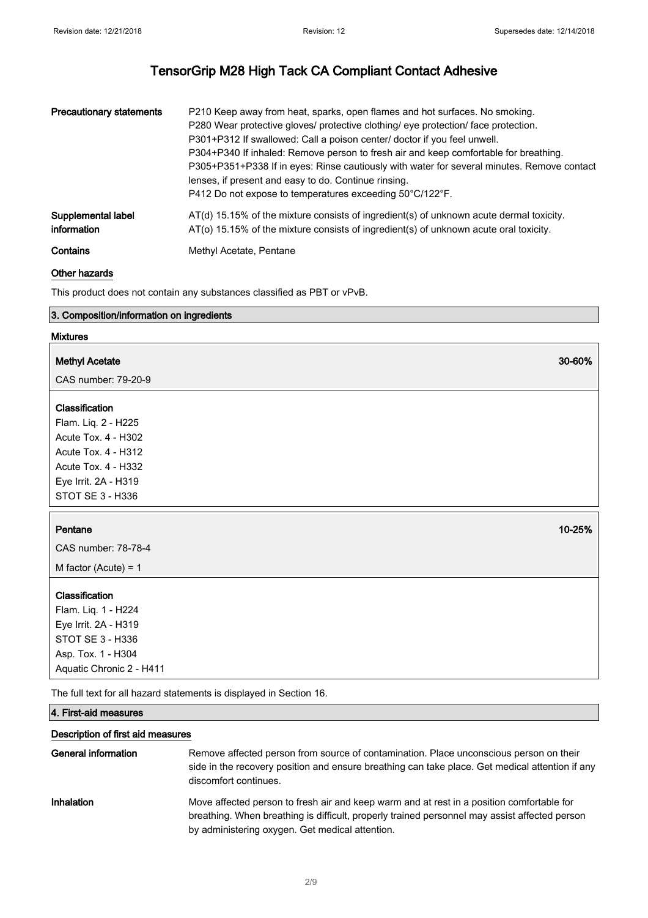| <b>Precautionary statements</b> | P210 Keep away from heat, sparks, open flames and hot surfaces. No smoking.<br>P280 Wear protective gloves/ protective clothing/ eye protection/ face protection.<br>P301+P312 If swallowed: Call a poison center/ doctor if you feel unwell.<br>P304+P340 If inhaled: Remove person to fresh air and keep comfortable for breathing.<br>P305+P351+P338 If in eyes: Rinse cautiously with water for several minutes. Remove contact<br>lenses, if present and easy to do. Continue rinsing.<br>P412 Do not expose to temperatures exceeding 50°C/122°F. |
|---------------------------------|---------------------------------------------------------------------------------------------------------------------------------------------------------------------------------------------------------------------------------------------------------------------------------------------------------------------------------------------------------------------------------------------------------------------------------------------------------------------------------------------------------------------------------------------------------|
| Supplemental label              | $AT(d)$ 15.15% of the mixture consists of ingredient(s) of unknown acute dermal toxicity.                                                                                                                                                                                                                                                                                                                                                                                                                                                               |
| information                     | AT(o) 15.15% of the mixture consists of ingredient(s) of unknown acute oral toxicity.                                                                                                                                                                                                                                                                                                                                                                                                                                                                   |
| Contains                        | Methyl Acetate, Pentane                                                                                                                                                                                                                                                                                                                                                                                                                                                                                                                                 |

#### Other hazards

This product does not contain any substances classified as PBT or vPvB.

#### 3. Composition/information on ingredients

#### Mixtures

#### Methyl Acetate 30-60% and 30-60% and 30-60% and 30-60% and 30-60% and 30-60% and 30-60% and 30-60% and 30-60% and 30-60% and 30-60% and 30-60% and 30-60% and 30-60% and 30-60% and 30-60% and 30-60% and 30-60% and 30-60% an

CAS number: 79-20-9

#### Classification

Flam. Liq. 2 - H225 Acute Tox. 4 - H302 Acute Tox. 4 - H312 Acute Tox. 4 - H332 Eye Irrit. 2A - H319 STOT SE 3 - H336

#### Pentane 10-25% in the set of the set of the set of the set of the set of the set of the set of the set of the set of the set of the set of the set of the set of the set of the set of the set of the set of the set of the se

CAS number: 78-78-4

M factor (Acute) = 1

#### Classification

Flam. Liq. 1 - H224 Eye Irrit. 2A - H319 STOT SE 3 - H336 Asp. Tox. 1 - H304 Aquatic Chronic 2 - H411

The full text for all hazard statements is displayed in Section 16.

#### 4. First-aid measures

#### Description of first aid measures

| General information | Remove affected person from source of contamination. Place unconscious person on their<br>side in the recovery position and ensure breathing can take place. Get medical attention if any<br>discomfort continues.                            |
|---------------------|-----------------------------------------------------------------------------------------------------------------------------------------------------------------------------------------------------------------------------------------------|
| Inhalation          | Move affected person to fresh air and keep warm and at rest in a position comfortable for<br>breathing. When breathing is difficult, properly trained personnel may assist affected person<br>by administering oxygen. Get medical attention. |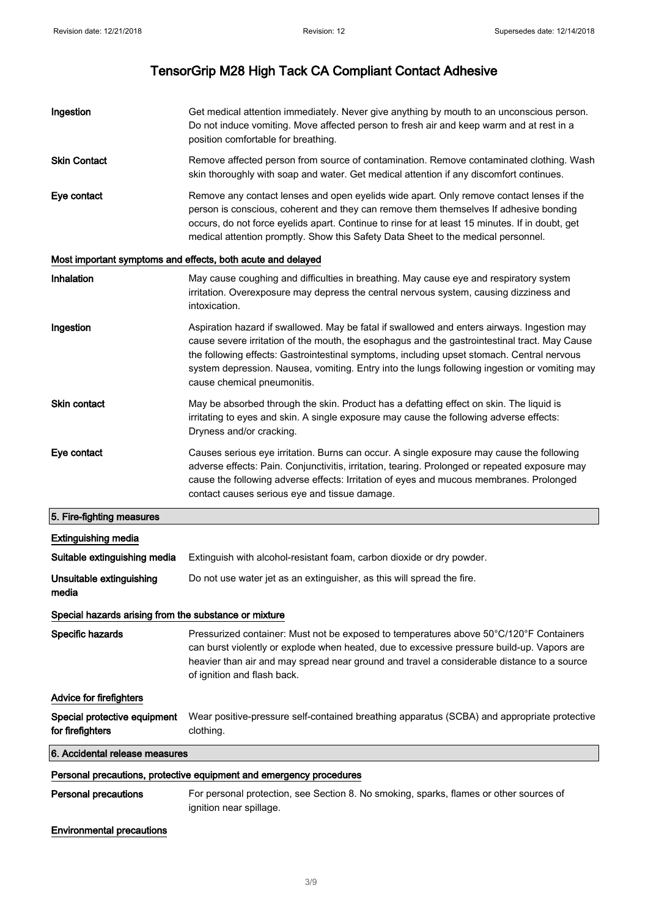| Ingestion                                             | Get medical attention immediately. Never give anything by mouth to an unconscious person.<br>Do not induce vomiting. Move affected person to fresh air and keep warm and at rest in a<br>position comfortable for breathing.                                                                                                                                                                                               |
|-------------------------------------------------------|----------------------------------------------------------------------------------------------------------------------------------------------------------------------------------------------------------------------------------------------------------------------------------------------------------------------------------------------------------------------------------------------------------------------------|
| <b>Skin Contact</b>                                   | Remove affected person from source of contamination. Remove contaminated clothing. Wash<br>skin thoroughly with soap and water. Get medical attention if any discomfort continues.                                                                                                                                                                                                                                         |
| Eye contact                                           | Remove any contact lenses and open eyelids wide apart. Only remove contact lenses if the<br>person is conscious, coherent and they can remove them themselves If adhesive bonding<br>occurs, do not force eyelids apart. Continue to rinse for at least 15 minutes. If in doubt, get<br>medical attention promptly. Show this Safety Data Sheet to the medical personnel.                                                  |
|                                                       | Most important symptoms and effects, both acute and delayed                                                                                                                                                                                                                                                                                                                                                                |
| Inhalation                                            | May cause coughing and difficulties in breathing. May cause eye and respiratory system<br>irritation. Overexposure may depress the central nervous system, causing dizziness and<br>intoxication.                                                                                                                                                                                                                          |
| Ingestion                                             | Aspiration hazard if swallowed. May be fatal if swallowed and enters airways. Ingestion may<br>cause severe irritation of the mouth, the esophagus and the gastrointestinal tract. May Cause<br>the following effects: Gastrointestinal symptoms, including upset stomach. Central nervous<br>system depression. Nausea, vomiting. Entry into the lungs following ingestion or vomiting may<br>cause chemical pneumonitis. |
| <b>Skin contact</b>                                   | May be absorbed through the skin. Product has a defatting effect on skin. The liquid is<br>irritating to eyes and skin. A single exposure may cause the following adverse effects:<br>Dryness and/or cracking.                                                                                                                                                                                                             |
| Eye contact                                           | Causes serious eye irritation. Burns can occur. A single exposure may cause the following<br>adverse effects: Pain. Conjunctivitis, irritation, tearing. Prolonged or repeated exposure may<br>cause the following adverse effects: Irritation of eyes and mucous membranes. Prolonged<br>contact causes serious eye and tissue damage.                                                                                    |
| 5. Fire-fighting measures                             |                                                                                                                                                                                                                                                                                                                                                                                                                            |
| <b>Extinguishing media</b>                            |                                                                                                                                                                                                                                                                                                                                                                                                                            |
| Suitable extinguishing media                          | Extinguish with alcohol-resistant foam, carbon dioxide or dry powder.                                                                                                                                                                                                                                                                                                                                                      |
| Unsuitable extinguishing<br>media                     | Do not use water jet as an extinguisher, as this will spread the fire.                                                                                                                                                                                                                                                                                                                                                     |
| Special hazards arising from the substance or mixture |                                                                                                                                                                                                                                                                                                                                                                                                                            |
| Specific hazards                                      | Pressurized container: Must not be exposed to temperatures above 50°C/120°F Containers<br>can burst violently or explode when heated, due to excessive pressure build-up. Vapors are<br>heavier than air and may spread near ground and travel a considerable distance to a source<br>of ignition and flash back.                                                                                                          |
| <b>Advice for firefighters</b>                        |                                                                                                                                                                                                                                                                                                                                                                                                                            |
| Special protective equipment<br>for firefighters      | Wear positive-pressure self-contained breathing apparatus (SCBA) and appropriate protective<br>clothing.                                                                                                                                                                                                                                                                                                                   |
| 6. Accidental release measures                        |                                                                                                                                                                                                                                                                                                                                                                                                                            |
|                                                       | Personal precautions, protective equipment and emergency procedures                                                                                                                                                                                                                                                                                                                                                        |
| <b>Personal precautions</b>                           | For personal protection, see Section 8. No smoking, sparks, flames or other sources of<br>ignition near spillage.                                                                                                                                                                                                                                                                                                          |
| <b>Environmental precautions</b>                      |                                                                                                                                                                                                                                                                                                                                                                                                                            |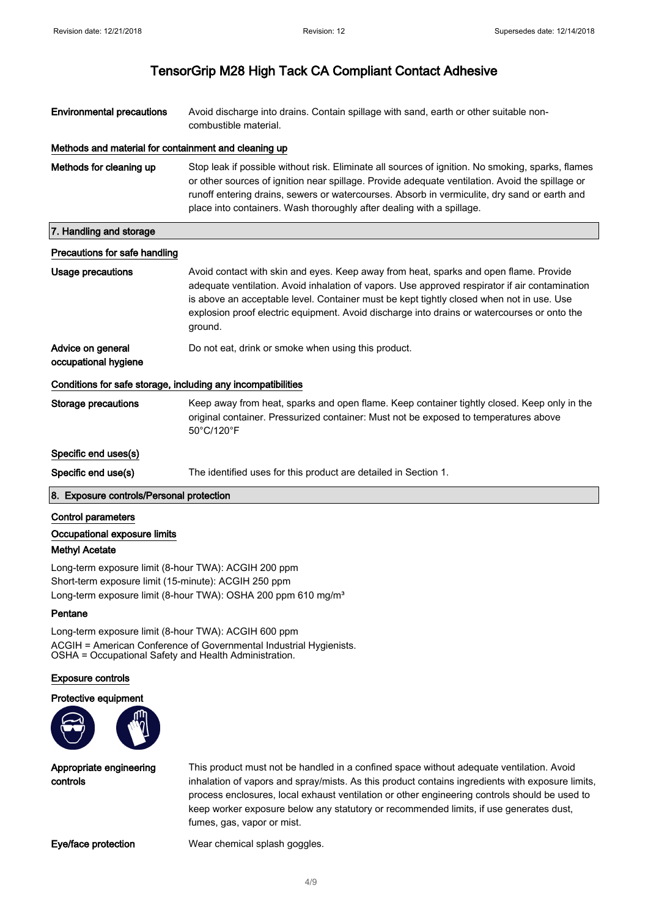| <b>Environmental precautions</b>                             | Avoid discharge into drains. Contain spillage with sand, earth or other suitable non-<br>combustible material.                                                                                                                                                                                                                                                                                |
|--------------------------------------------------------------|-----------------------------------------------------------------------------------------------------------------------------------------------------------------------------------------------------------------------------------------------------------------------------------------------------------------------------------------------------------------------------------------------|
| Methods and material for containment and cleaning up         |                                                                                                                                                                                                                                                                                                                                                                                               |
| Methods for cleaning up                                      | Stop leak if possible without risk. Eliminate all sources of ignition. No smoking, sparks, flames<br>or other sources of ignition near spillage. Provide adequate ventilation. Avoid the spillage or<br>runoff entering drains, sewers or watercourses. Absorb in vermiculite, dry sand or earth and<br>place into containers. Wash thoroughly after dealing with a spillage.                 |
| 7. Handling and storage                                      |                                                                                                                                                                                                                                                                                                                                                                                               |
| Precautions for safe handling                                |                                                                                                                                                                                                                                                                                                                                                                                               |
| <b>Usage precautions</b>                                     | Avoid contact with skin and eyes. Keep away from heat, sparks and open flame. Provide<br>adequate ventilation. Avoid inhalation of vapors. Use approved respirator if air contamination<br>is above an acceptable level. Container must be kept tightly closed when not in use. Use<br>explosion proof electric equipment. Avoid discharge into drains or watercourses or onto the<br>ground. |
| Advice on general<br>occupational hygiene                    | Do not eat, drink or smoke when using this product.                                                                                                                                                                                                                                                                                                                                           |
| Conditions for safe storage, including any incompatibilities |                                                                                                                                                                                                                                                                                                                                                                                               |
| <b>Storage precautions</b>                                   | Keep away from heat, sparks and open flame. Keep container tightly closed. Keep only in the<br>original container. Pressurized container: Must not be exposed to temperatures above<br>50°C/120°F                                                                                                                                                                                             |
| Specific end uses(s)                                         |                                                                                                                                                                                                                                                                                                                                                                                               |
| Specific end use(s)                                          | The identified uses for this product are detailed in Section 1.                                                                                                                                                                                                                                                                                                                               |
| 8. Exposure controls/Personal protection                     |                                                                                                                                                                                                                                                                                                                                                                                               |

#### Control parameters

Occupational exposure limits

#### Methyl Acetate

Long-term exposure limit (8-hour TWA): ACGIH 200 ppm Short-term exposure limit (15-minute): ACGIH 250 ppm Long-term exposure limit (8-hour TWA): OSHA 200 ppm 610 mg/m<sup>3</sup>

#### Pentane

Long-term exposure limit (8-hour TWA): ACGIH 600 ppm ACGIH = American Conference of Governmental Industrial Hygienists. OSHA = Occupational Safety and Health Administration.

#### Exposure controls

#### Protective equipment



Appropriate engineering controls

This product must not be handled in a confined space without adequate ventilation. Avoid inhalation of vapors and spray/mists. As this product contains ingredients with exposure limits, process enclosures, local exhaust ventilation or other engineering controls should be used to keep worker exposure below any statutory or recommended limits, if use generates dust, fumes, gas, vapor or mist.

Eye/face protection Wear chemical splash goggles.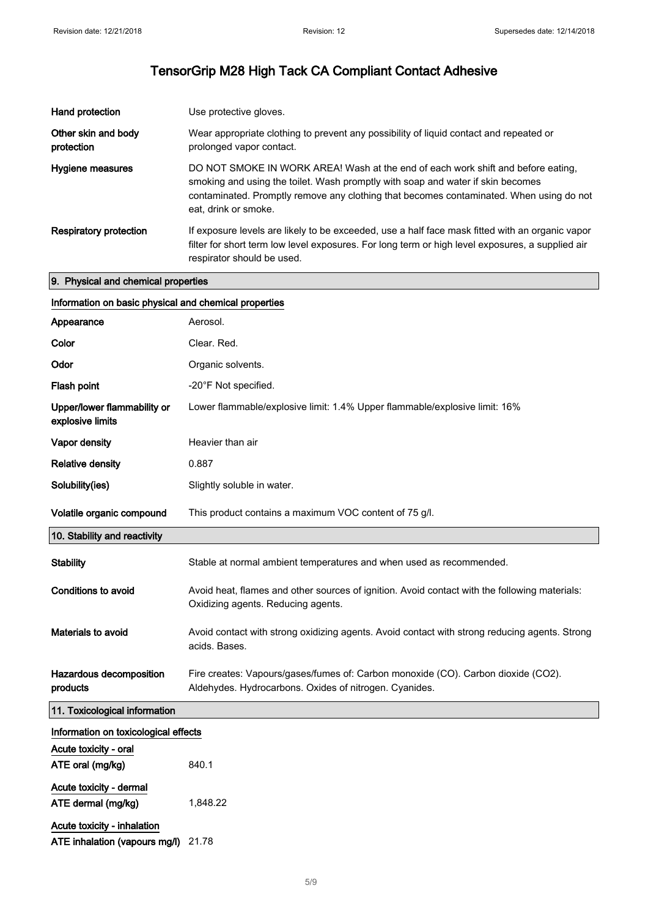| Hand protection                   | Use protective gloves.                                                                                                                                                                                                                                                                 |
|-----------------------------------|----------------------------------------------------------------------------------------------------------------------------------------------------------------------------------------------------------------------------------------------------------------------------------------|
| Other skin and body<br>protection | Wear appropriate clothing to prevent any possibility of liquid contact and repeated or<br>prolonged vapor contact.                                                                                                                                                                     |
| Hygiene measures                  | DO NOT SMOKE IN WORK AREA! Wash at the end of each work shift and before eating,<br>smoking and using the toilet. Wash promptly with soap and water if skin becomes<br>contaminated. Promptly remove any clothing that becomes contaminated. When using do not<br>eat, drink or smoke. |
| <b>Respiratory protection</b>     | If exposure levels are likely to be exceeded, use a half face mask fitted with an organic vapor<br>filter for short term low level exposures. For long term or high level exposures, a supplied air<br>respirator should be used.                                                      |

#### 9. Physical and chemical properties

|                                                 | Information on basic physical and chemical properties                                                                                       |  |
|-------------------------------------------------|---------------------------------------------------------------------------------------------------------------------------------------------|--|
| Appearance                                      | Aerosol.                                                                                                                                    |  |
| Color                                           | Clear, Red.                                                                                                                                 |  |
| Odor                                            | Organic solvents.                                                                                                                           |  |
| Flash point                                     | -20°F Not specified.                                                                                                                        |  |
| Upper/lower flammability or<br>explosive limits | Lower flammable/explosive limit: 1.4% Upper flammable/explosive limit: 16%                                                                  |  |
| Vapor density                                   | Heavier than air                                                                                                                            |  |
| <b>Relative density</b>                         | 0.887                                                                                                                                       |  |
| Solubility(ies)                                 | Slightly soluble in water.                                                                                                                  |  |
| Volatile organic compound                       | This product contains a maximum VOC content of 75 g/l.                                                                                      |  |
| 10. Stability and reactivity                    |                                                                                                                                             |  |
| <b>Stability</b>                                | Stable at normal ambient temperatures and when used as recommended.                                                                         |  |
| <b>Conditions to avoid</b>                      | Avoid heat, flames and other sources of ignition. Avoid contact with the following materials:<br>Oxidizing agents. Reducing agents.         |  |
| <b>Materials to avoid</b>                       | Avoid contact with strong oxidizing agents. Avoid contact with strong reducing agents. Strong<br>acids. Bases.                              |  |
| Hazardous decomposition<br>products             | Fire creates: Vapours/gases/fumes of: Carbon monoxide (CO). Carbon dioxide (CO2).<br>Aldehydes. Hydrocarbons. Oxides of nitrogen. Cyanides. |  |
| 11. Toxicological information                   |                                                                                                                                             |  |
| Information on toxicological effects            |                                                                                                                                             |  |
| Acute toxicity - oral                           |                                                                                                                                             |  |
| ATE oral (mg/kg)                                | 840.1                                                                                                                                       |  |
| Acute toxicity - dermal<br>ATE dermal (mg/kg)   | 1,848.22                                                                                                                                    |  |
| Acute toxicity - inhalation                     |                                                                                                                                             |  |

ATE inhalation (vapours mg/l) 21.78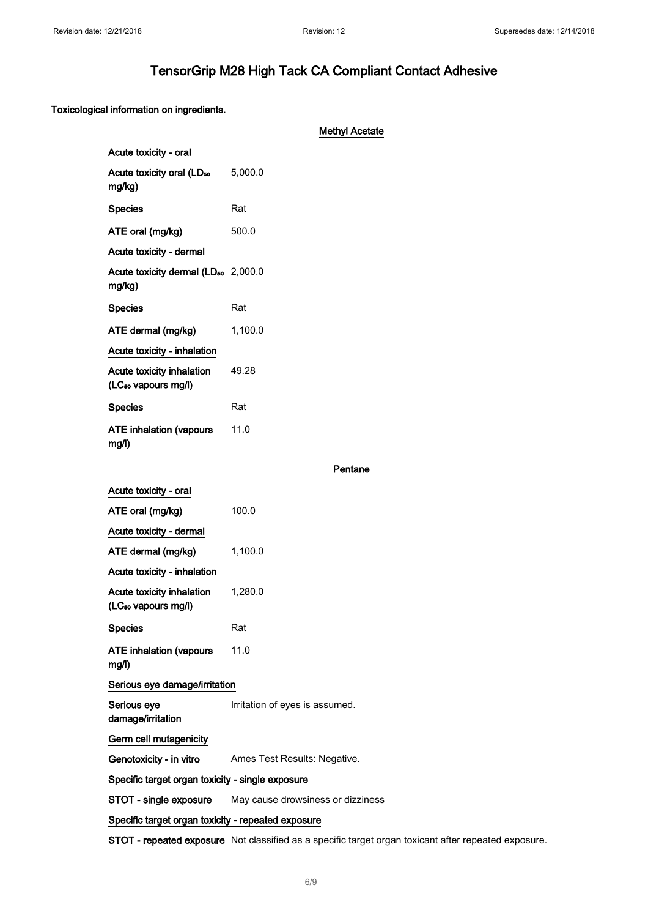#### Toxicological information on ingredients.

|                                                              | <b>Methyl Acetate</b>             |
|--------------------------------------------------------------|-----------------------------------|
| Acute toxicity - oral                                        |                                   |
| Acute toxicity oral (LD <sub>50</sub><br>mg/kg)              | 5,000.0                           |
| <b>Species</b>                                               | Rat                               |
| ATE oral (mg/kg)                                             | 500.0                             |
| Acute toxicity - dermal                                      |                                   |
| Acute toxicity dermal (LD <sub>50</sub> 2,000.0<br>mg/kg)    |                                   |
| <b>Species</b>                                               | Rat                               |
| ATE dermal (mg/kg)                                           | 1,100.0                           |
| Acute toxicity - inhalation                                  |                                   |
| Acute toxicity inhalation<br>(LC <sub>so</sub> vapours mg/l) | 49.28                             |
| <b>Species</b>                                               | Rat                               |
| <b>ATE inhalation (vapours</b><br>mg/l)                      | 11.0                              |
|                                                              | Pentane                           |
| Acute toxicity - oral                                        |                                   |
| ATE oral (mg/kg)                                             | 100.0                             |
| Acute toxicity - dermal                                      |                                   |
| ATE dermal (mg/kg)                                           | 1,100.0                           |
| Acute toxicity - inhalation                                  |                                   |
| Acute toxicity inhalation<br>(LC <sub>so</sub> vapours mg/l) | 1,280.0                           |
| <b>Species</b>                                               | Rat                               |
| <b>ATE inhalation (vapours</b><br>mg/l)                      | 11.0                              |
| Serious eye damage/irritation                                |                                   |
| Serious eye<br>damage/irritation                             | Irritation of eyes is assumed.    |
| Germ cell mutagenicity                                       |                                   |
| Genotoxicity - in vitro                                      | Ames Test Results: Negative.      |
| Specific target organ toxicity - single exposure             |                                   |
| STOT - single exposure                                       | May cause drowsiness or dizziness |
| Specific target organ toxicity - repeated exposure           |                                   |

STOT - repeated exposure Not classified as a specific target organ toxicant after repeated exposure.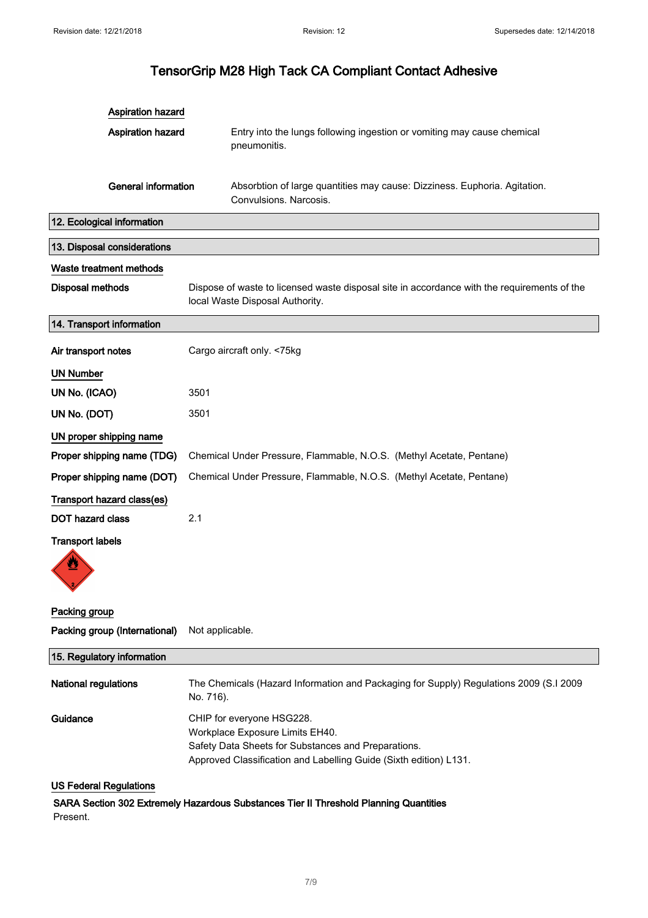| <b>Aspiration hazard</b>      |                                                                                                                                                                                          |
|-------------------------------|------------------------------------------------------------------------------------------------------------------------------------------------------------------------------------------|
| <b>Aspiration hazard</b>      | Entry into the lungs following ingestion or vomiting may cause chemical<br>pneumonitis.                                                                                                  |
| <b>General information</b>    | Absorbtion of large quantities may cause: Dizziness. Euphoria. Agitation.<br>Convulsions. Narcosis.                                                                                      |
| 12. Ecological information    |                                                                                                                                                                                          |
| 13. Disposal considerations   |                                                                                                                                                                                          |
| Waste treatment methods       |                                                                                                                                                                                          |
| Disposal methods              | Dispose of waste to licensed waste disposal site in accordance with the requirements of the<br>local Waste Disposal Authority.                                                           |
| 14. Transport information     |                                                                                                                                                                                          |
| Air transport notes           | Cargo aircraft only. <75kg                                                                                                                                                               |
| <b>UN Number</b>              |                                                                                                                                                                                          |
| UN No. (ICAO)                 | 3501                                                                                                                                                                                     |
| UN No. (DOT)                  | 3501                                                                                                                                                                                     |
| UN proper shipping name       |                                                                                                                                                                                          |
| Proper shipping name (TDG)    | Chemical Under Pressure, Flammable, N.O.S. (Methyl Acetate, Pentane)                                                                                                                     |
| Proper shipping name (DOT)    | Chemical Under Pressure, Flammable, N.O.S. (Methyl Acetate, Pentane)                                                                                                                     |
| Transport hazard class(es)    |                                                                                                                                                                                          |
| <b>DOT hazard class</b>       | 2.1                                                                                                                                                                                      |
| <b>Transport labels</b>       |                                                                                                                                                                                          |
| Packing group                 |                                                                                                                                                                                          |
| Packing group (International) | Not applicable.                                                                                                                                                                          |
| 15. Regulatory information    |                                                                                                                                                                                          |
| National regulations          | The Chemicals (Hazard Information and Packaging for Supply) Regulations 2009 (S.I 2009<br>No. 716).                                                                                      |
| Guidance                      | CHIP for everyone HSG228.<br>Workplace Exposure Limits EH40.<br>Safety Data Sheets for Substances and Preparations.<br>Approved Classification and Labelling Guide (Sixth edition) L131. |
| <b>US Federal Regulations</b> |                                                                                                                                                                                          |
|                               | SARA Section 302 Extremely Hazardous Substances Tier II Threshold Planning Quantities                                                                                                    |

Present.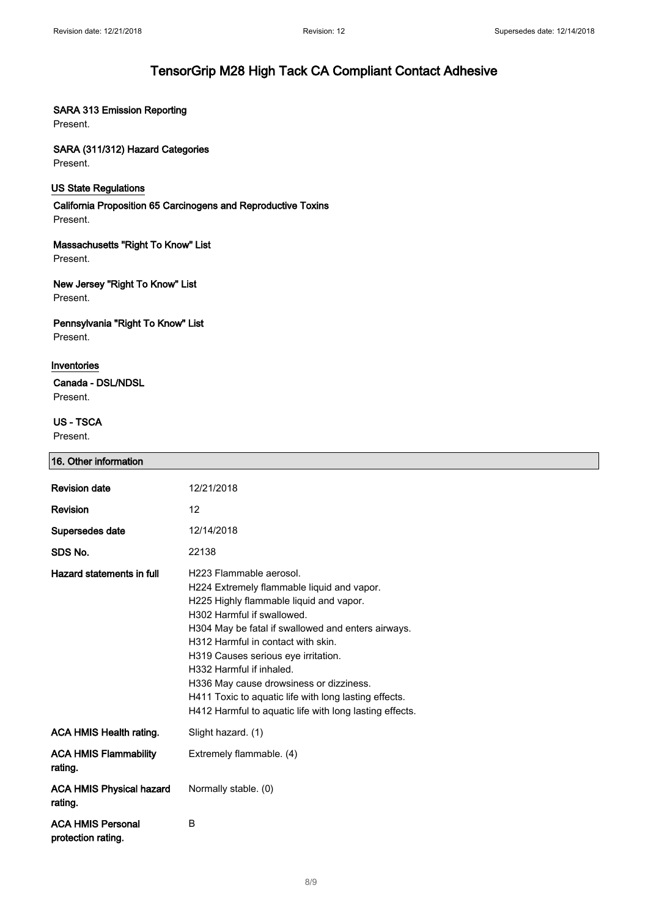#### SARA 313 Emission Reporting

Present.

#### SARA (311/312) Hazard Categories

Present.

#### US State Regulations

California Proposition 65 Carcinogens and Reproductive Toxins Present.

## Massachusetts "Right To Know" List

Present.

#### New Jersey "Right To Know" List Present.

#### Pennsylvania "Right To Know" List Present.

#### Inventories

Canada - DSL/NDSL Present.

#### US - TSCA

Present.

| 16. Other information                          |                                                                                                                                                                                                                                                                                                                                                                                                                                                                              |
|------------------------------------------------|------------------------------------------------------------------------------------------------------------------------------------------------------------------------------------------------------------------------------------------------------------------------------------------------------------------------------------------------------------------------------------------------------------------------------------------------------------------------------|
| <b>Revision date</b>                           | 12/21/2018                                                                                                                                                                                                                                                                                                                                                                                                                                                                   |
| Revision                                       | 12                                                                                                                                                                                                                                                                                                                                                                                                                                                                           |
| Supersedes date                                | 12/14/2018                                                                                                                                                                                                                                                                                                                                                                                                                                                                   |
| SDS No.                                        | 22138                                                                                                                                                                                                                                                                                                                                                                                                                                                                        |
| Hazard statements in full                      | H223 Flammable aerosol.<br>H224 Extremely flammable liquid and vapor.<br>H225 Highly flammable liquid and vapor.<br>H302 Harmful if swallowed.<br>H304 May be fatal if swallowed and enters airways.<br>H312 Harmful in contact with skin.<br>H319 Causes serious eye irritation.<br>H332 Harmful if inhaled.<br>H336 May cause drowsiness or dizziness.<br>H411 Toxic to aquatic life with long lasting effects.<br>H412 Harmful to aquatic life with long lasting effects. |
| <b>ACA HMIS Health rating.</b>                 | Slight hazard. (1)                                                                                                                                                                                                                                                                                                                                                                                                                                                           |
| <b>ACA HMIS Flammability</b><br>rating.        | Extremely flammable. (4)                                                                                                                                                                                                                                                                                                                                                                                                                                                     |
| <b>ACA HMIS Physical hazard</b><br>rating.     | Normally stable. (0)                                                                                                                                                                                                                                                                                                                                                                                                                                                         |
| <b>ACA HMIS Personal</b><br>protection rating. | B                                                                                                                                                                                                                                                                                                                                                                                                                                                                            |